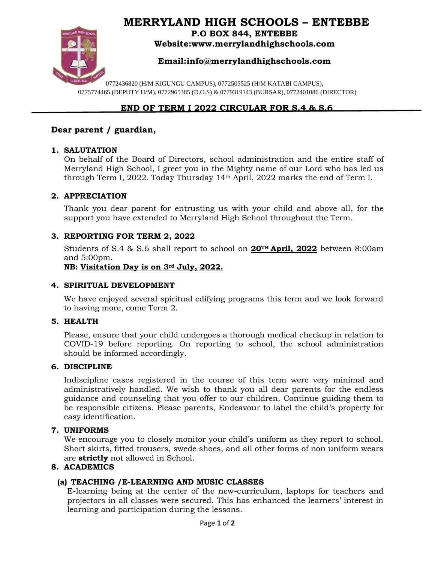# **MERRYLAND HIGH SCHOOLS – ENTEBBE**



**P.O BOX 844, ENTEBBE Website:www.merrylandhighschools.com**

# **Email:info@merrylandhighschools.com**

0772436820 (H/M KIGUNGU CAMPUS), 0772505525 (H/M KATABI CAMPUS), 0775774465 (DEPUTY H/M), 0772965385 (D.O.S) & 0779319143 (BURSAR), 0772401086 (DIRECTOR)

# **END OF TERM I 2022 CIRCULAR FOR S.4 & S.6**

# **Dear parent / guardian,**

#### **1. SALUTATION**

On behalf of the Board of Directors, school administration and the entire staff of Merryland High School, I greet you in the Mighty name of our Lord who has led us through Term I, 2022. Today Thursday 14th April, 2022 marks the end of Term I.

#### **2. APPRECIATION**

Thank you dear parent for entrusting us with your child and above all, for the support you have extended to Merryland High School throughout the Term.

### **3. REPORTING FOR TERM 2, 2022**

Students of S.4 & S.6 shall report to school on **20TH April, 2022** between 8:00am and 5:00pm.

**NB: Visitation Day is on 3rd July, 2022.**

#### **4. SPIRITUAL DEVELOPMENT**

We have enjoyed several spiritual edifying programs this term and we look forward to having more, come Term 2.

#### **5. HEALTH**

Please, ensure that your child undergoes a thorough medical checkup in relation to COVID-19 before reporting. On reporting to school, the school administration should be informed accordingly.

#### **6. DISCIPLINE**

Indiscipline cases registered in the course of this term were very minimal and administratively handled. We wish to thank you all dear parents for the endless guidance and counseling that you offer to our children. Continue guiding them to be responsible citizens. Please parents, Endeavour to label the child's property for easy identification.

#### **7. UNIFORMS**

We encourage you to closely monitor your child's uniform as they report to school. Short skirts, fitted trousers, swede shoes, and all other forms of non uniform wears are **strictly** not allowed in School.

### **8. ACADEMICS**

### **(a) TEACHING /E-LEARNING AND MUSIC CLASSES**

E-learning being at the center of the new-curriculum, laptops for teachers and projectors in all classes were secured. This has enhanced the learners' interest in learning and participation during the lessons.